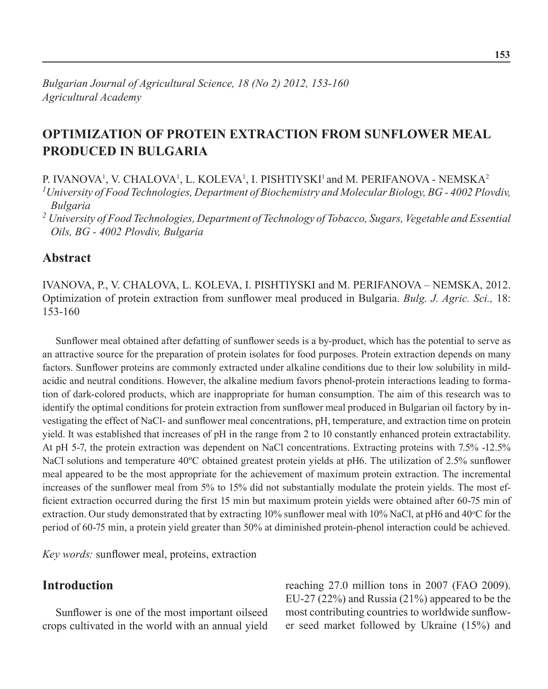# **Optimization of protein extraction from sunflower meal produced in Bulgaria**

P. IVANOVA<sup>1</sup>, V. CHALOVA<sup>1</sup>, L. KOLEVA<sup>1</sup>, I. PISHTIYSKI<sup>1</sup> and M. PERIFANOVA - NEMSKA<sup>2</sup> *1 University of Food Technologies, Department of Biochemistry and Molecular Biology, BG - 4002 Plovdiv, Bulgaria*

*<sup>2</sup> University of Food Technologies, Department of Technology of Tobacco, Sugars, Vegetable and Essential Oils, BG - 4002 Plovdiv, Bulgaria*

## **Abstract**

Ivanova, P., V. Chalova, L. Koleva, I. Pishtiyski and M. Perifanova – Nemska, 2012. Optimization of protein extraction from sunflower meal produced in Bulgaria. *Bulg. J. Agric. Sci.,* 18: 153-160

Sunflower meal obtained after defatting of sunflower seeds is a by-product, which has the potential to serve as an attractive source for the preparation of protein isolates for food purposes. Protein extraction depends on many factors. Sunflower proteins are commonly extracted under alkaline conditions due to their low solubility in mildacidic and neutral conditions. However, the alkaline medium favors phenol-protein interactions leading to formation of dark-colored products, which are inappropriate for human consumption. The aim of this research was to identify the optimal conditions for protein extraction from sunflower meal produced in Bulgarian oil factory by investigating the effect of NaCl- and sunflower meal concentrations, pH, temperature, and extraction time on protein yield. It was established that increases of pH in the range from 2 to 10 constantly enhanced protein extractability. At pH 5-7, the protein extraction was dependent on NaCl concentrations. Extracting proteins with 7.5% -12.5% NaCl solutions and temperature 40°C obtained greatest protein yields at pH6. The utilization of 2.5% sunflower meal appeared to be the most appropriate for the achievement of maximum protein extraction. The incremental increases of the sunflower meal from 5% to 15% did not substantially modulate the protein yields. The most efficient extraction occurred during the first 15 min but maximum protein yields were obtained after 60-75 min of extraction. Our study demonstrated that by extracting 10% sunflower meal with 10% NaCl, at pH6 and 40°C for the period of 60-75 min, a protein yield greater than 50% at diminished protein-phenol interaction could be achieved.

*Key words:* sunflower meal, proteins, extraction

# **Introduction**

Sunflower is one of the most important oilseed crops cultivated in the world with an annual yield reaching 27.0 million tons in 2007 (FAO 2009). EU-27 (22%) and Russia (21%) appeared to be the most contributing countries to worldwide sunflower seed market followed by Ukraine (15%) and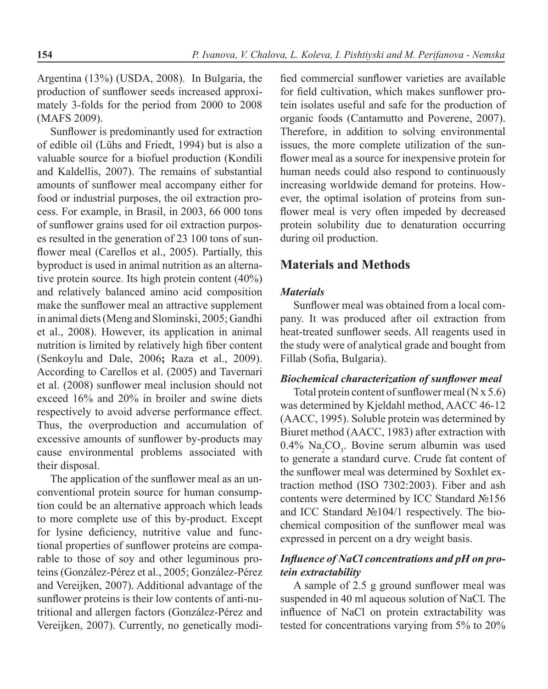Argentina (13%) (USDA, 2008). In Bulgaria, the production of sunflower seeds increased approximately 3-folds for the period from 2000 to 2008 (MAFS 2009).

Sunflower is predominantly used for extraction of edible oil (Lühs and Friedt, 1994) but is also a valuable source for a biofuel production (Kondili and Kaldellis, 2007). The remains of substantial amounts of sunflower meal accompany either for food or industrial purposes, the oil extraction process. For example, in Brasil, in 2003, 66 000 tons of sunflower grains used for oil extraction purposes resulted in the generation of 23 100 tons of sunflower meal (Carellos et al., 2005). Partially, this byproduct is used in animal nutrition as an alternative protein source. Its high protein content (40%) and relatively balanced amino acid composition make the sunflower meal an attractive supplement in animal diets (Meng and Slominski, 2005; Gandhi et al., 2008). However, its application in animal nutrition is limited by relatively high fiber content (Senkoylu and Dale, 2006**;** Raza et al., 2009). According to Carellos et al. (2005) and Tavernari et al. (2008) sunflower meal inclusion should not exceed 16% and 20% in broiler and swine diets respectively to avoid adverse performance effect. Thus, the overproduction and accumulation of excessive amounts of sunflower by-products may cause environmental problems associated with their disposal.

The application of the sunflower meal as an unconventional protein source for human consumption could be an alternative approach which leads to more complete use of this by-product. Except for lysine deficiency, nutritive value and functional properties of sunflower proteins are comparable to those of soy and other leguminous proteins (González-Pérez et al., 2005; González-Pérez and Vereijken, 2007). Additional advantage of the sunflower proteins is their low contents of anti-nutritional and allergen factors (González-Pérez and Vereijken, 2007). Currently, no genetically modi-

fied commercial sunflower varieties are available for field cultivation, which makes sunflower protein isolates useful and safe for the production of organic foods (Cantamutto and Poverene, 2007). Therefore, in addition to solving environmental issues, the more complete utilization of the sunflower meal as a source for inexpensive protein for human needs could also respond to continuously increasing worldwide demand for proteins. However, the optimal isolation of proteins from sunflower meal is very often impeded by decreased protein solubility due to denaturation occurring during oil production.

# **Materials and Methods**

#### *Materials*

Sunflower meal was obtained from a local company. It was produced after oil extraction from heat-treated sunflower seeds. All reagents used in the study were of analytical grade and bought from Fillab (Sofia, Bulgaria).

#### *Biochemical characterization of sunflower meal*

Total protein content of sunflower meal  $(N \times 5.6)$ was determined by Kjeldahl method, AACC 46-12 (AACC, 1995). Soluble protein was determined by Biuret method (AACC, 1983) after extraction with  $0.4\%$  Na<sub>2</sub>CO<sub>3</sub>. Bovine serum albumin was used to generate a standard curve. Crude fat content of the sunflower meal was determined by Soxhlet extraction method (ISO 7302:2003). Fiber and ash contents were determined by ICC Standard №156 and ICC Standard №104/1 respectively. The biochemical composition of the sunflower meal was expressed in percent on a dry weight basis.

### *Influence of NaCl concentrations and pH on protein extractability*

A sample of 2.5 g ground sunflower meal was suspended in 40 ml aqueous solution of NaCl. The influence of NaCl on protein extractability was tested for concentrations varying from 5% to 20%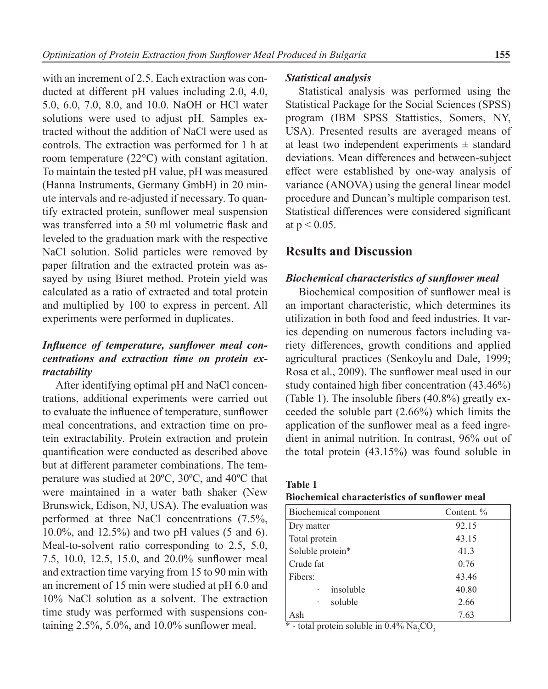with an increment of 2.5. Each extraction was conducted at different pH values including 2.0, 4.0, 5.0, 6.0, 7.0, 8.0, and 10.0. NaOH or HCl water solutions were used to adjust pH. Samples extracted without the addition of NaCl were used as controls. The extraction was performed for 1 h at room temperature (22°C) with constant agitation. To maintain the tested pH value, pH was measured (Hanna Instruments, Germany GmbH) in 20 minute intervals and re-adjusted if necessary. To quantify extracted protein, sunflower meal suspension was transferred into a 50 ml volumetric flask and leveled to the graduation mark with the respective NaCl solution. Solid particles were removed by paper filtration and the extracted protein was assayed by using Biuret method. Protein yield was calculated as a ratio of extracted and total protein and multiplied by 100 to express in percent. All experiments were performed in duplicates.

### *Influence of temperature, sunflower meal concentrations and extraction time on protein extractability*

After identifying optimal pH and NaCl concentrations, additional experiments were carried out to evaluate the influence of temperature, sunflower meal concentrations, and extraction time on protein extractability. Protein extraction and protein quantification were conducted as described above but at different parameter combinations. The temperature was studied at 20ºC, 30ºC, and 40ºC that were maintained in a water bath shaker (New Brunswick, Edison, NJ, USA). The evaluation was performed at three NaCl concentrations (7.5%, 10.0%, and 12.5%) and two pH values (5 and 6). Meal-to-solvent ratio corresponding to 2.5, 5.0, 7.5, 10.0, 12.5, 15.0, and 20.0% sunflower meal and extraction time varying from 15 to 90 min with an increment of 15 min were studied at pH 6.0 and 10% NaCl solution as a solvent. The extraction time study was performed with suspensions containing 2.5%, 5.0%, and 10.0% sunflower meal.

#### *Statistical analysis*

Statistical analysis was performed using the Statistical Package for the Social Sciences (SPSS) program (IBM SPSS Stattistics, Somers, NY, USA). Presented results are averaged means of at least two independent experiments  $\pm$  standard deviations. Mean differences and between-subject effect were established by one-way analysis of variance (ANOVA) using the general linear model procedure and Duncan's multiple comparison test. Statistical differences were considered significant at  $p < 0.05$ .

#### **Results and Discussion**

#### *Biochemical characteristics of sunflower meal*

Biochemical composition of sunflower meal is an important characteristic, which determines its utilization in both food and feed industries. It varies depending on numerous factors including variety differences, growth conditions and applied agricultural practices (Senkoylu and Dale, 1999; Rosa et al., 2009). The sunflower meal used in our study contained high fiber concentration (43.46%) (Table 1). The insoluble fibers (40.8%) greatly exceeded the soluble part (2.66%) which limits the application of the sunflower meal as a feed ingredient in animal nutrition. In contrast, 96% out of the total protein (43.15%) was found soluble in

| <b>Table 1</b> |                                                      |  |  |
|----------------|------------------------------------------------------|--|--|
|                | <b>Biochemical characteristics of sunflower meal</b> |  |  |

| Biochemical component | Content. % |  |  |
|-----------------------|------------|--|--|
| Dry matter            | 92.15      |  |  |
| Total protein         | 43.15      |  |  |
| Soluble protein*      | 41.3       |  |  |
| Crude fat             | 0.76       |  |  |
| Fibers:               | 43.46      |  |  |
| insoluble             | 40.80      |  |  |
| soluble               | 2.66       |  |  |
| Ash                   | 7.63       |  |  |

\* - total protein soluble in  $0.4\%$  Na<sub>2</sub>CO<sub>3</sub>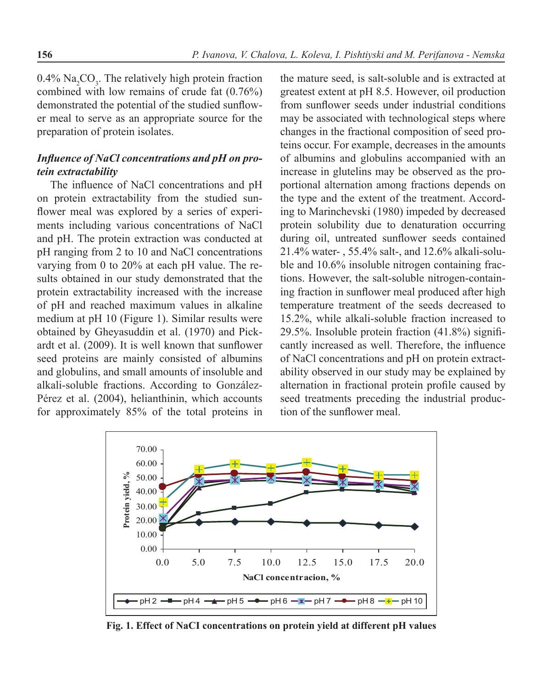$0.4\%$  Na<sub>2</sub>CO<sub>3</sub>. The relatively high protein fraction combined with low remains of crude fat (0.76%) demonstrated the potential of the studied sunflower meal to serve as an appropriate source for the preparation of protein isolates.

### *Influence of NaCl concentrations and pH on protein extractability*

The influence of NaCl concentrations and pH on protein extractability from the studied sunflower meal was explored by a series of experiments including various concentrations of NaCl and pH. The protein extraction was conducted at pH ranging from 2 to 10 and NaCl concentrations varying from 0 to 20% at each pH value. The results obtained in our study demonstrated that the protein extractability increased with the increase of pH and reached maximum values in alkaline medium at pH 10 (Figure 1). Similar results were obtained by Gheyasuddin et al. (1970) and Pickardt et al. (2009). It is well known that sunflower seed proteins are mainly consisted of albumins and globulins, and small amounts of insoluble and alkali-soluble fractions. According to González-Pérez et al. (2004), helianthinin, which accounts for approximately 85% of the total proteins in

the mature seed, is salt-soluble and is extracted at greatest extent at рН 8.5. However, oil production from sunflower seeds under industrial conditions may be associated with technological steps where changes in the fractional composition of seed proteins occur. For example, decreases in the amounts of albumins and globulins accompanied with an increase in glutelins may be observed as the proportional alternation among fractions depends on the type and the extent of the treatment. According to Marinchevski (1980) impeded by decreased protein solubility due to denaturation occurring during oil, untreated sunflower seeds contained 21.4% water- , 55.4% salt-, and 12.6% alkali-soluble and 10.6% insoluble nitrogen containing fractions. However, the salt-soluble nitrogen-containing fraction in sunflower meal produced after high temperature treatment of the seeds decreased to 15.2%, while alkali-soluble fraction increased to 29.5%. Insoluble protein fraction (41.8%) significantly increased as well. Therefore, the influence of NaCl concentrations and pH on protein extractability observed in our study may be explained by alternation in fractional protein profile caused by seed treatments preceding the industrial production of the sunflower meal.



**Fig. 1. Effect of NaCI concentrations on protein yield at different pH values**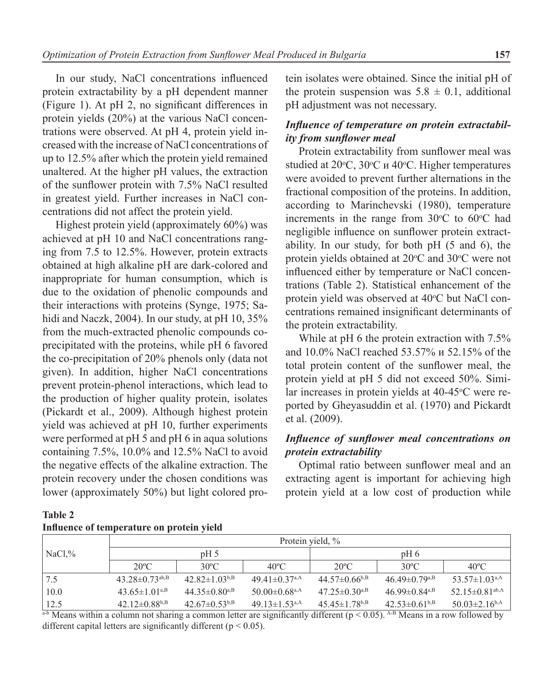In our study, NaCl concentrations influenced protein extractability by a pH dependent manner (Figure 1). At pH 2, no significant differences in protein yields (20%) at the various NaCl concentrations were observed. At pH 4, protein yield increased with the increase of NaCl concentrations of up to 12.5% after which the protein yield remained unaltered. At the higher pH values, the extraction of the sunflower protein with 7.5% NaCl resulted in greatest yield. Further increases in NaCl concentrations did not affect the protein yield.

Highest protein yield (approximately 60%) was achieved at pH 10 and NaCl concentrations ranging from 7.5 to 12.5%. However, protein extracts obtained at high alkaline pH are dark-colored and inappropriate for human consumption, which is due to the oxidation of phenolic compounds and their interactions with proteins (Synge, 1975; Sahidi and Naczk, 2004). In our study, at pH 10, 35% from the much-extracted phenolic compounds coprecipitated with the proteins, while pH 6 favored the co-precipitation of 20% phenols only (data not given). In addition, higher NaCl concentrations prevent protein-phenol interactions, which lead to the production of higher quality protein, isolates (Pickardt et al., 2009). Although highest protein yield was achieved at pH 10, further experiments were performed at pH 5 and pH 6 in aqua solutions containing 7.5%, 10.0% and 12.5% NaCl to avoid the negative effects of the alkaline extraction. The protein recovery under the chosen conditions was lower (approximately 50%) but light colored pro-

| tein isolates were obtained. Since the initial pH of  |  |  |  |  |  |
|-------------------------------------------------------|--|--|--|--|--|
| the protein suspension was $5.8 \pm 0.1$ , additional |  |  |  |  |  |
| pH adjustment was not necessary.                      |  |  |  |  |  |

# *Influence of temperature on protein extractability from sunflower meal*

Protein extractability from sunflower meal was studied at 20°С, 30°С и 40°С. Higher temperatures were avoided to prevent further alternations in the fractional composition of the proteins. In addition, according to Marinchevski (1980), temperature increments in the range from  $30^{\circ}$ C to  $60^{\circ}$ C had negligible influence on sunflower protein extractability. In our study, for both pH (5 and 6), the protein yields obtained at  $20^{\circ}$ C and  $30^{\circ}$ C were not influenced either by temperature or NaCl concentrations (Table 2). Statistical enhancement of the protein yield was observed at 40°C but NaCl concentrations remained insignificant determinants of the protein extractability.

While at pH 6 the protein extraction with 7.5% and 10.0% NaCl reached 53.57% и 52.15% of the total protein content of the sunflower meal, the protein yield at pH 5 did not exceed 50%. Similar increases in protein yields at 40-45°C were reported by Gheyasuddin et al. (1970) and Pickardt et al. (2009).

### *Influence of sunflower meal concentrations on protein extractability*

Optimal ratio between sunflower meal and an extracting agent is important for achieving high protein yield at a low cost of production while

| Table 2 |                                           |  |
|---------|-------------------------------------------|--|
|         | Influence of temperature on protein yield |  |
|         |                                           |  |

|                                          | Protein yield, %                 |                                 |                                 |                                                                                                                                                                                                                                                                                                  |                                 |                                  |
|------------------------------------------|----------------------------------|---------------------------------|---------------------------------|--------------------------------------------------------------------------------------------------------------------------------------------------------------------------------------------------------------------------------------------------------------------------------------------------|---------------------------------|----------------------------------|
| $\vert$ NaCl,%                           | pH <sub>5</sub>                  |                                 | $pH_6$                          |                                                                                                                                                                                                                                                                                                  |                                 |                                  |
|                                          | $20^{\circ}$ C                   | $30^{\circ}$ C                  | $40^{\circ}$ C                  | $20^{\circ}$ C                                                                                                                                                                                                                                                                                   | $30^{\circ}$ C                  | $40^{\circ}$ C                   |
| 7.5                                      | $43.28 \pm 0.73$ <sup>ab,B</sup> | 42.82 $\pm$ 1.03 <sup>b,B</sup> | $49.41 \pm 0.37$ <sup>a,A</sup> | $44.57\pm 0.66^{b,B}$                                                                                                                                                                                                                                                                            | $46.49\pm 0.79$ <sup>a,B</sup>  | 53.57 $\pm$ 1.03 <sup>a,A</sup>  |
| 10.0                                     | 43.65 $\pm$ 1.01 <sup>a,B</sup>  | 44.35 $\pm$ 0.80 <sup>a,B</sup> | $50.00 \pm 0.68$ <sup>a,A</sup> | $47.25 \pm 0.30^{a,B}$                                                                                                                                                                                                                                                                           | 46.99 $\pm$ 0.84 <sup>a,B</sup> | $52.15 \pm 0.81$ <sup>ab,A</sup> |
| 12.5                                     | 42.12 $\pm$ 0.88 <sup>b,B</sup>  | $42.67\pm 0.53^{b,B}$           | 49.13 $\pm$ 1.53 <sup>a,A</sup> | $45.45 \pm 1.78^{b,B}$                                                                                                                                                                                                                                                                           | $42.53\pm 0.61^{b,B}$           | $50.03 \pm 2.16$ <sup>b,A</sup>  |
| $\overline{a}$ . $\overline{a}$<br>1.1.1 | $\blacksquare$                   |                                 |                                 | $\mathbf{1}$ and $\mathbf{1}$ and $\mathbf{1}$ and $\mathbf{1}$ and $\mathbf{1}$ and $\mathbf{1}$ and $\mathbf{1}$ and $\mathbf{1}$ and $\mathbf{1}$ and $\mathbf{1}$ and $\mathbf{1}$ and $\mathbf{1}$ and $\mathbf{1}$ and $\mathbf{1}$ and $\mathbf{1}$ and $\mathbf{1}$ and $\mathbf{1}$ and |                                 | $0.11$ 1.1                       |

 $a-b$  Means within a column not sharing a common letter are significantly different ( $p < 0.05$ ). A-B Means in a row followed by different capital letters are significantly different ( $p < 0.05$ ).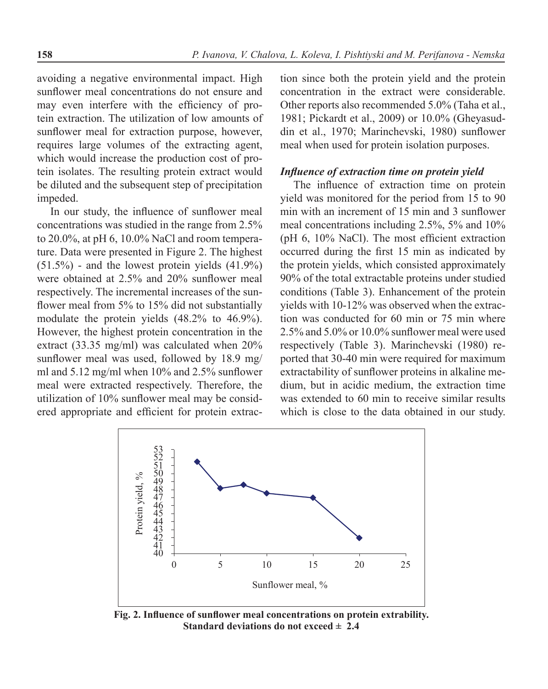avoiding a negative environmental impact. High sunflower meal concentrations do not ensure and may even interfere with the efficiency of protein extraction. The utilization of low amounts of sunflower meal for extraction purpose, however, requires large volumes of the extracting agent, which would increase the production cost of protein isolates. The resulting protein extract would be diluted and the subsequent step of precipitation impeded.

In our study, the influence of sunflower meal concentrations was studied in the range from 2.5% to 20.0%, at pH 6, 10.0% NaCl and room temperature. Data were presented in Figure 2. The highest  $(51.5\%)$  - and the lowest protein yields  $(41.9\%)$ were obtained at 2.5% and 20% sunflower meal respectively. The incremental increases of the sunflower meal from 5% to 15% did not substantially modulate the protein yields (48.2% to 46.9%). However, the highest protein concentration in the extract (33.35 mg/ml) was calculated when 20% sunflower meal was used, followed by 18.9 mg/ ml and 5.12 mg/ml when 10% and 2.5% sunflower meal were extracted respectively. Therefore, the utilization of 10% sunflower meal may be considered appropriate and efficient for protein extraction since both the protein yield and the protein concentration in the extract were considerable. Other reports also recommended 5.0% (Taha et al., 1981; Pickardt et al., 2009) or 10.0% (Gheyasuddin et al., 1970; Marinchevski, 1980) sunflower meal when used for protein isolation purposes.

### *Influence of extraction time on protein yield*

The influence of extraction time on protein yield was monitored for the period from 15 to 90 min with an increment of 15 min and 3 sunflower meal concentrations including 2.5%, 5% and 10% (pH 6, 10% NaCl). The most efficient extraction occurred during the first 15 min as indicated by the protein yields, which consisted approximately 90% of the total extractable proteins under studied conditions (Table 3). Enhancement of the protein yields with 10-12% was observed when the extraction was conducted for 60 min or 75 min where 2.5% and 5.0% or 10.0% sunflower meal were used respectively (Table 3). Marinchevski (1980) reported that 30-40 min were required for maximum extractability of sunflower proteins in alkaline medium, but in acidic medium, the extraction time was extended to 60 min to receive similar results which is close to the data obtained in our study.



**Fig. 2. Influence of sunflower meal concentrations on protein extrability. Standard deviations do not exceed ± 2.4**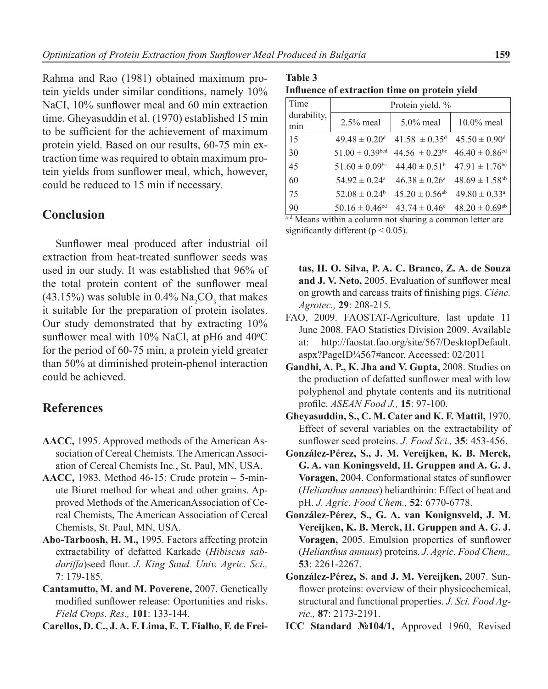Rahma and Rao (1981) obtained maximum protein yields under similar conditions, namely 10% NaCI, 10% sunflower meal and 60 min extraction time. Gheyasuddin et al. (1970) established 15 min to be sufficient for the achievement of maximum protein yield. Based on our results, 60-75 min extraction time was required to obtain maximum protein yields from sunflower meal, which, however, could be reduced to 15 min if necessary.

### **Сonclusion**

Sunflower meal produced after industrial oil extraction from heat-treated sunflower seeds was used in our study. It was established that 96% of the total protein content of the sunflower meal  $(43.15%)$  was soluble in 0.4%  $\text{Na}_2\text{CO}_3$  that makes it suitable for the preparation of protein isolates. Our study demonstrated that by extracting 10% sunflower meal with  $10\%$  NaCl, at pH6 and  $40\degree$ C for the period of 60-75 min, a protein yield greater than 50% at diminished protein-phenol interaction could be achieved.

## **References**

- **AACC,** 1995. Approved methods of the American Association of Cereal Chemists. The American Association of Cereal Chemists Inc*.*, St. Paul, MN, USA.
- **AACC,** 1983. Method 46-15: Crude protein 5-minute Biuret method for wheat and other grains. Approved Methods of the AmericanAssociation of Cereal Chemists, The American Association of Cereal Chemists, St. Paul, MN, USA.
- **Abo-Tarboosh, H. M.,** 1995. Factors affecting protein extractability of defatted Karkade (*Hibiscus sabdariffa*)seed flour. *J. King Saud. Univ. Agric. Sci.,* **7**: 179-185.
- **Cantamutto, M. and M. Poverene,** 2007. Genetically modified sunflower release: Oportunities and risks. *Field Crops. Res.,* **101**: 133-144.

**Carellos, D. C., J. A. F. Lima, E. T. Fialho, F. de Frei-**

**Table 3 Influence of extraction time on protein yield**

| Time               | Protein yield, %               |                                |                                |  |
|--------------------|--------------------------------|--------------------------------|--------------------------------|--|
| durability,<br>min | $2.5\%$ meal                   | $5.0\%$ meal                   | $10.0\%$ meal                  |  |
| 15                 | $49.48 \pm 0.20$ <sup>d</sup>  | $41.58 \pm 0.35^{\text{d}}$    | $45.50 \pm 0.90$ <sup>d</sup>  |  |
| 30                 | $51.00 \pm 0.39$ bcd           | $44.56 \pm 0.23$ <sup>bc</sup> | $46.40 \pm 0.86$ <sup>cd</sup> |  |
| 45                 | $51.60 \pm 0.09$ <sup>bc</sup> | $44.40 \pm 0.51^b$             | $47.91 \pm 1.76$ <sup>bc</sup> |  |
| 60                 | $54.92 \pm 0.24$ <sup>a</sup>  | $46.38 \pm 0.26^{\circ}$       | $48.69 \pm 1.58$ <sup>ab</sup> |  |
| 75                 | $52.08 \pm 0.24^b$             | $45.20 \pm 0.56$ <sup>ab</sup> | $49.80 \pm 0.33$ <sup>a</sup>  |  |
| 90                 | $50.16 \pm 0.46$ <sup>cd</sup> | $43.74 \pm 0.46^{\circ}$       | $48.20 \pm 0.69$ <sup>ab</sup> |  |

a-d Means within a column not sharing a common letter are significantly different ( $p < 0.05$ ).

- **tas, H. O. Silva, P. A. C. Branco, Z. A. de Souza and J. V. Neto,** 2005. Evaluation of sunflower meal on growth and carcass traits of finishing pigs. *Ciênc. Agrotec.,* **29**: 208-215.
- FAO, 2009. FAOSTAT-Agriculture, last update 11 June 2008. FAO Statistics Division 2009. Available at: http://faostat.fao.org/site/567/DesktopDefault. aspx?PageID¼567#ancor. Accessed: 02/2011
- **Gandhi, A. P., K. Jha and V. Gupta,** 2008. Studies on the production of defatted sunflower meal with low polyphenol and phytate contents and its nutritional profile. *ASEAN Food J.,* **15**: 97-100.
- **Gheyasuddin, S., C. M. Cater and K. F. Mattil,** 1970. Effect of several variables on the extractability of sunflower seed proteins. *J. Food Sci.,* **35**: 453-456.
- **González-Pérez, S., J. M. Vereijken, K. B. Merck, G. A. van Koningsveld, H. Gruppen and A. G. J. Voragen,** 2004. Conformational states of sunflower (*Helianthus annuus*) helianthinin: Effect of heat and pH. *J. Agric. Food Chem.,* **52**: 6770-6778.
- **González-Pérez, S., G. A. van Konignsveld, J. M. Vereijken, K. B. Merck, H. Gruppen and A. G. J. Voragen,** 2005. Emulsion properties of sunflower (*Helianthus annuus*) proteins. *J. Agric. Food Chem.,* **53**: 2261-2267.
- **González-Pérez, S. and J. M. Vereijken,** 2007. Sunflower proteins: overview of their physicochemical, structural and functional properties. *J. Sci. Food Agric.,* **87**: 2173-2191.
- **ICC Standard №104/1,** Approved 1960, Revised